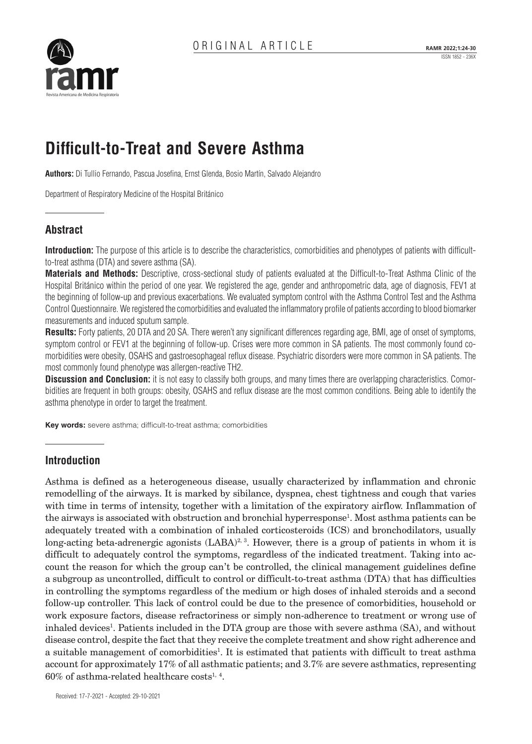

# **Difficult-to-Treat and Severe Asthma**

**Authors:** Di Tullio Fernando, Pascua Josefina, Ernst Glenda, Bosio Martín, Salvado Alejandro

Department of Respiratory Medicine of the Hospital Británico

# **Abstract**

**Introduction:** The purpose of this article is to describe the characteristics, comorbidities and phenotypes of patients with difficultto-treat asthma (DTA) and severe asthma (SA).

**Materials and Methods:** Descriptive, cross-sectional study of patients evaluated at the Difficult-to-Treat Asthma Clinic of the Hospital Británico within the period of one year. We registered the age, gender and anthropometric data, age of diagnosis, FEV1 at the beginning of follow-up and previous exacerbations. We evaluated symptom control with the Asthma Control Test and the Asthma Control Questionnaire. We registered the comorbidities and evaluated the inflammatory profile of patients according to blood biomarker measurements and induced sputum sample.

**Results:** Forty patients, 20 DTA and 20 SA. There weren't any significant differences regarding age, BMI, age of onset of symptoms, symptom control or FEV1 at the beginning of follow-up. Crises were more common in SA patients. The most commonly found comorbidities were obesity, OSAHS and gastroesophageal reflux disease. Psychiatric disorders were more common in SA patients. The most commonly found phenotype was allergen-reactive TH2.

**Discussion and Conclusion:** it is not easy to classify both groups, and many times there are overlapping characteristics. Comorbidities are frequent in both groups: obesity, OSAHS and reflux disease are the most common conditions. Being able to identify the asthma phenotype in order to target the treatment.

**Key words:** severe asthma; difficult-to-treat asthma; comorbidities

# **Introduction**

Asthma is defined as a heterogeneous disease, usually characterized by inflammation and chronic remodelling of the airways. It is marked by sibilance, dyspnea, chest tightness and cough that varies with time in terms of intensity, together with a limitation of the expiratory airflow. Inflammation of the airways is associated with obstruction and bronchial hyperresponse<sup>1</sup>. Most asthma patients can be adequately treated with a combination of inhaled corticosteroids (ICS) and bronchodilators, usually long-acting beta-adrenergic agonists  $(LABA)^{2,3}$ . However, there is a group of patients in whom it is difficult to adequately control the symptoms, regardless of the indicated treatment. Taking into account the reason for which the group can't be controlled, the clinical management guidelines define a subgroup as uncontrolled, difficult to control or difficult-to-treat asthma (DTA) that has difficulties in controlling the symptoms regardless of the medium or high doses of inhaled steroids and a second follow-up controller. This lack of control could be due to the presence of comorbidities, household or work exposure factors, disease refractoriness or simply non-adherence to treatment or wrong use of inhaled devices<sup>1</sup>. Patients included in the DTA group are those with severe asthma (SA), and without disease control, despite the fact that they receive the complete treatment and show right adherence and a suitable management of comorbidities<sup>1</sup>. It is estimated that patients with difficult to treat asthma account for approximately 17% of all asthmatic patients; and 3.7% are severe asthmatics, representing  $60\%$  of asthma-related healthcare costs<sup>1, 4</sup>.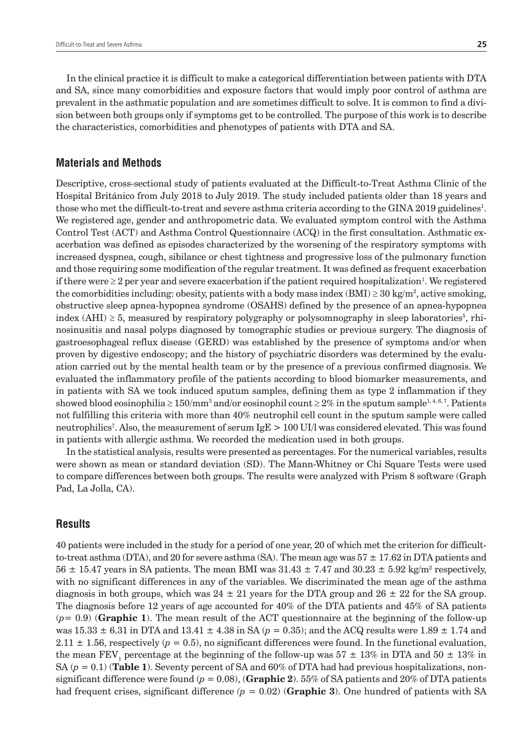In the clinical practice it is difficult to make a categorical differentiation between patients with DTA and SA, since many comorbidities and exposure factors that would imply poor control of asthma are prevalent in the asthmatic population and are sometimes difficult to solve. It is common to find a division between both groups only if symptoms get to be controlled. The purpose of this work is to describe the characteristics, comorbidities and phenotypes of patients with DTA and SA.

#### **Materials and Methods**

Descriptive, cross-sectional study of patients evaluated at the Difficult-to-Treat Asthma Clinic of the Hospital Británico from July 2018 to July 2019. The study included patients older than 18 years and those who met the difficult-to-treat and severe asthma criteria according to the GINA 2019 guidelines<sup>1</sup>. We registered age, gender and anthropometric data. We evaluated symptom control with the Asthma Control Test (ACT) and Asthma Control Questionnaire (ACQ) in the first consultation. Asthmatic exacerbation was defined as episodes characterized by the worsening of the respiratory symptoms with increased dyspnea, cough, sibilance or chest tightness and progressive loss of the pulmonary function and those requiring some modification of the regular treatment. It was defined as frequent exacerbation if there were  $\geq 2$  per year and severe exacerbation if the patient required hospitalization<sup>1</sup>. We registered the comorbidities including: obesity, patients with a body mass index (BMI)  $\geq$  30 kg/m<sup>2</sup>, active smoking, obstructive sleep apnea-hypopnea syndrome (OSAHS) defined by the presence of an apnea-hypopnea index (AHI)  $\geq 5$ , measured by respiratory polygraphy or polysomnography in sleep laboratories<sup>5</sup>, rhinosinusitis and nasal polyps diagnosed by tomographic studies or previous surgery. The diagnosis of gastroesophageal reflux disease (GERD) was established by the presence of symptoms and/or when proven by digestive endoscopy; and the history of psychiatric disorders was determined by the evaluation carried out by the mental health team or by the presence of a previous confirmed diagnosis. We evaluated the inflammatory profile of the patients according to blood biomarker measurements, and in patients with SA we took induced sputum samples, defining them as type 2 inflammation if they showed blood eosinophilia ≥  $150/\mathrm{mm}^3$  and/or eosinophil count ≥  $2\%$  in the sputum sample $^{1,4,6,7}.$  Patients not fulfilling this criteria with more than 40% neutrophil cell count in the sputum sample were called neutrophilics7 . Also, the measurement of serum IgE > 100 UI/l was considered elevated. This was found in patients with allergic asthma. We recorded the medication used in both groups.

In the statistical analysis, results were presented as percentages. For the numerical variables, results were shown as mean or standard deviation (SD). The Mann-Whitney or Chi Square Tests were used to compare differences between both groups. The results were analyzed with Prism 8 software (Graph Pad, La Jolla, CA).

#### **Results**

40 patients were included in the study for a period of one year, 20 of which met the criterion for difficultto-treat asthma (DTA), and 20 for severe asthma (SA). The mean age was  $57 \pm 17.62$  in DTA patients and  $56 \pm 15.47$  years in SA patients. The mean BMI was  $31.43 \pm 7.47$  and  $30.23 \pm 5.92$  kg/m<sup>2</sup> respectively, with no significant differences in any of the variables. We discriminated the mean age of the asthma diagnosis in both groups, which was  $24 \pm 21$  years for the DTA group and  $26 \pm 22$  for the SA group. The diagnosis before 12 years of age accounted for 40% of the DTA patients and 45% of SA patients (*p*= 0.9) (**Graphic 1**). The mean result of the ACT questionnaire at the beginning of the follow-up was  $15.33 \pm 6.31$  in DTA and  $13.41 \pm 4.38$  in SA ( $p = 0.35$ ); and the ACQ results were  $1.89 \pm 1.74$  and  $2.11 \pm 1.56$ , respectively ( $p = 0.5$ ), no significant differences were found. In the functional evaluation, the mean FEV<sub>1</sub> percentage at the beginning of the follow-up was  $57 \pm 13\%$  in DTA and  $50 \pm 13\%$  in SA ( $p = 0.1$ ) (**Table 1**). Seventy percent of SA and 60% of DTA had had previous hospitalizations, nonsignificant difference were found  $(p = 0.08)$ , (**Graphic 2**). 55% of SA patients and 20% of DTA patients had frequent crises, significant difference *(p =* 0.02) (**Graphic 3**). One hundred of patients with SA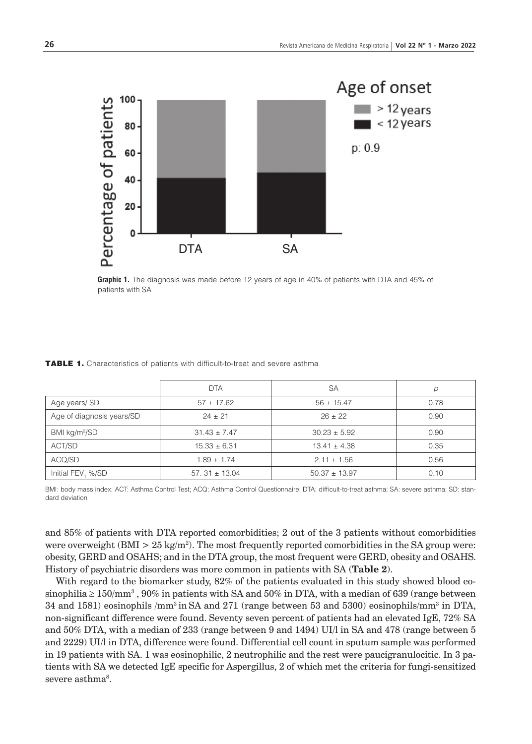

**Graphic 1.** The diagnosis was made before 12 years of age in 40% of patients with DTA and 45% of patients with SA

|                           | <b>DTA</b>        | <b>SA</b>         | р    |
|---------------------------|-------------------|-------------------|------|
| Age years/SD              | $57 + 17.62$      | $56 \pm 15.47$    | 0.78 |
| Age of diagnosis years/SD | $24 \pm 21$       | $26 + 22$         | 0.90 |
| BMI $kg/m^2/SD$           | $31.43 \pm 7.47$  | $30.23 \pm 5.92$  | 0.90 |
| ACT/SD                    | $15.33 \pm 6.31$  | $13.41 \pm 4.38$  | 0.35 |
| ACQ/SD                    | $1.89 \pm 1.74$   | $2.11 \pm 1.56$   | 0.56 |
| Initial FEV, %/SD         | $57.31 \pm 13.04$ | $50.37 \pm 13.97$ | 0.10 |

#### TABLE 1. Characteristics of patients with difficult-to-treat and severe asthma

BMI: body mass index; ACT: Asthma Control Test; ACQ: Asthma Control Questionnaire; DTA: difficult-to-treat asthma; SA: severe asthma; SD: standard deviation

and 85% of patients with DTA reported comorbidities; 2 out of the 3 patients without comorbidities were overweight (BMI  $> 25 \text{ kg/m}^2$ ). The most frequently reported comorbidities in the SA group were: obesity, GERD and OSAHS; and in the DTA group, the most frequent were GERD, obesity and OSAHS. History of psychiatric disorders was more common in patients with SA (**Table 2**).

With regard to the biomarker study, 82% of the patients evaluated in this study showed blood eosinophilia ≥ 150/mm<sup>3</sup> , 90% in patients with SA and 50% in DTA, with a median of 639 (range between 34 and 1581) eosinophils /mm<sup>3</sup> in SA and 271 (range between 53 and 5300) eosinophils/mm<sup>3</sup> in DTA, non-significant difference were found. Seventy seven percent of patients had an elevated IgE, 72% SA and 50% DTA, with a median of 233 (range between 9 and 1494) UI/l in SA and 478 (range between 5 and 2229) UI/l in DTA, difference were found. Differential cell count in sputum sample was performed in 19 patients with SA. 1 was eosinophilic, 2 neutrophilic and the rest were paucigranulocitic. In 3 patients with SA we detected IgE specific for Aspergillus, 2 of which met the criteria for fungi-sensitized severe asthma<sup>8</sup>.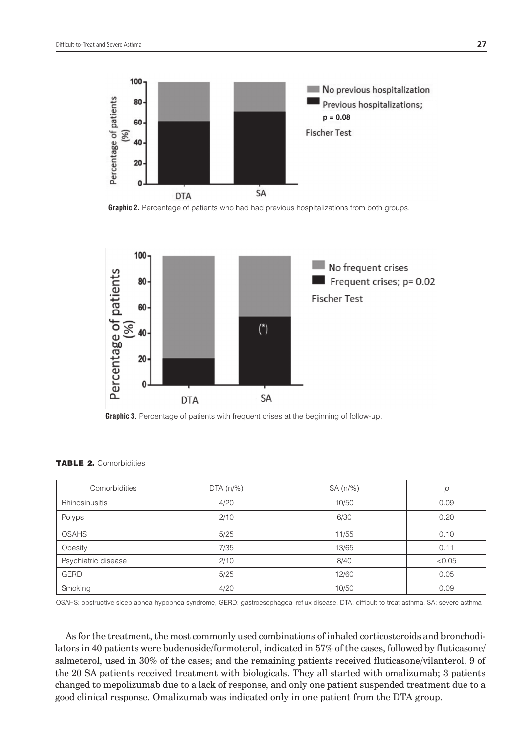

**Graphic 2.** Percentage of patients who had had previous hospitalizations from both groups.



**Graphic 3.** Percentage of patients with frequent crises at the beginning of follow-up.

| Comorbidities       | $DTA(n/\%)$ | $SA(n/\%)$ | $\mathcal{D}$ |
|---------------------|-------------|------------|---------------|
| Rhinosinusitis      | 4/20        | 10/50      | 0.09          |
| Polyps              | 2/10        | 6/30       | 0.20          |
| <b>OSAHS</b>        | 5/25        | 11/55      | 0.10          |
| Obesity             | 7/35        | 13/65      | 0.11          |
| Psychiatric disease | 2/10        | 8/40       | < 0.05        |
| <b>GERD</b>         | 5/25        | 12/60      | 0.05          |
| Smoking             | 4/20        | 10/50      | 0.09          |

OSAHS: obstructive sleep apnea-hypopnea syndrome, GERD: gastroesophageal reflux disease, DTA: difficult-to-treat asthma, SA: severe asthma

As for the treatment, the most commonly used combinations of inhaled corticosteroids and bronchodilators in 40 patients were budenoside/formoterol, indicated in 57% of the cases, followed by fluticasone/ salmeterol, used in 30% of the cases; and the remaining patients received fluticasone/vilanterol. 9 of the 20 SA patients received treatment with biologicals. They all started with omalizumab; 3 patients changed to mepolizumab due to a lack of response, and only one patient suspended treatment due to a good clinical response. Omalizumab was indicated only in one patient from the DTA group.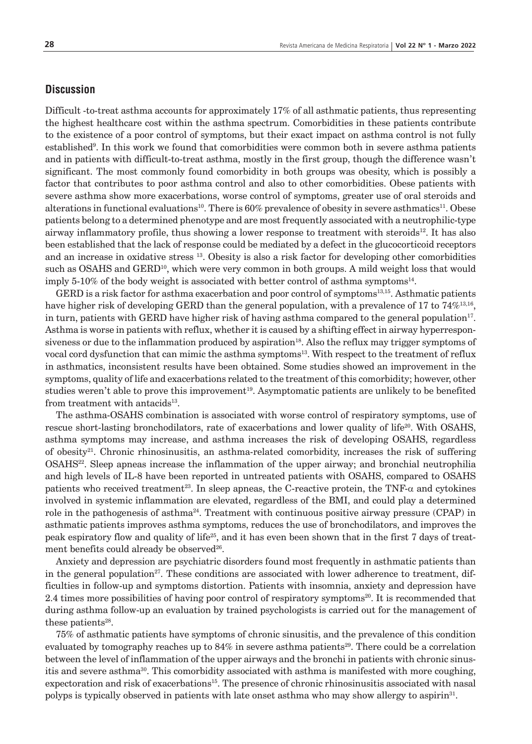## **Discussion**

Difficult -to-treat asthma accounts for approximately 17% of all asthmatic patients, thus representing the highest healthcare cost within the asthma spectrum. Comorbidities in these patients contribute to the existence of a poor control of symptoms, but their exact impact on asthma control is not fully established<sup>9</sup>. In this work we found that comorbidities were common both in severe asthma patients and in patients with difficult-to-treat asthma, mostly in the first group, though the difference wasn't significant. The most commonly found comorbidity in both groups was obesity, which is possibly a factor that contributes to poor asthma control and also to other comorbidities. Obese patients with severe asthma show more exacerbations, worse control of symptoms, greater use of oral steroids and alterations in functional evaluations<sup>10</sup>. There is  $60\%$  prevalence of obesity in severe asthmatics<sup>11</sup>. Obese patients belong to a determined phenotype and are most frequently associated with a neutrophilic-type airway inflammatory profile, thus showing a lower response to treatment with steroids $12$ . It has also been established that the lack of response could be mediated by a defect in the glucocorticoid receptors and an increase in oxidative stress 13. Obesity is also a risk factor for developing other comorbidities such as OSAHS and GERD<sup>10</sup>, which were very common in both groups. A mild weight loss that would imply 5-10% of the body weight is associated with better control of asthma symptoms<sup>14</sup>.

GERD is a risk factor for asthma exacerbation and poor control of symptoms<sup>13,15</sup>. Asthmatic patients have higher risk of developing GERD than the general population, with a prevalence of 17 to 74%<sup>13,16</sup>, in turn, patients with GERD have higher risk of having asthma compared to the general population $17$ . Asthma is worse in patients with reflux, whether it is caused by a shifting effect in airway hyperresponsiveness or due to the inflammation produced by aspiration<sup>18</sup>. Also the reflux may trigger symptoms of vocal cord dysfunction that can mimic the asthma symptoms<sup>13</sup>. With respect to the treatment of reflux in asthmatics, inconsistent results have been obtained. Some studies showed an improvement in the symptoms, quality of life and exacerbations related to the treatment of this comorbidity; however, other studies weren't able to prove this improvement<sup>19</sup>. Asymptomatic patients are unlikely to be benefited from treatment with antacids $13$ .

The asthma-OSAHS combination is associated with worse control of respiratory symptoms, use of rescue short-lasting bronchodilators, rate of exacerbations and lower quality of life<sup>20</sup>. With OSAHS, asthma symptoms may increase, and asthma increases the risk of developing OSAHS, regardless of obesity<sup>21</sup>. Chronic rhinosinusitis, an asthma-related comorbidity, increases the risk of suffering OSAHS<sup>22</sup>. Sleep apneas increase the inflammation of the upper airway; and bronchial neutrophilia and high levels of IL-8 have been reported in untreated patients with OSAHS, compared to OSAHS patients who received treatment<sup>23</sup>. In sleep apneas, the C-reactive protein, the TNF- $\alpha$  and cytokines involved in systemic inflammation are elevated, regardless of the BMI, and could play a determined role in the pathogenesis of asthma<sup>24</sup>. Treatment with continuous positive airway pressure (CPAP) in asthmatic patients improves asthma symptoms, reduces the use of bronchodilators, and improves the peak espiratory flow and quality of life<sup>25</sup>, and it has even been shown that in the first 7 days of treatment benefits could already be observed<sup>26</sup>.

Anxiety and depression are psychiatric disorders found most frequently in asthmatic patients than in the general population<sup>27</sup>. These conditions are associated with lower adherence to treatment, difficulties in follow-up and symptoms distortion. Patients with insomnia, anxiety and depression have 2.4 times more possibilities of having poor control of respiratory symptoms<sup>20</sup>. It is recommended that during asthma follow-up an evaluation by trained psychologists is carried out for the management of these patients<sup>28</sup>.

75% of asthmatic patients have symptoms of chronic sinusitis, and the prevalence of this condition evaluated by tomography reaches up to  $84\%$  in severe asthma patients<sup>29</sup>. There could be a correlation between the level of inflammation of the upper airways and the bronchi in patients with chronic sinusitis and severe asthma<sup>30</sup>. This comorbidity associated with asthma is manifested with more coughing, expectoration and risk of exacerbations15. The presence of chronic rhinosinusitis associated with nasal polyps is typically observed in patients with late onset asthma who may show allergy to aspirin<sup>31</sup>.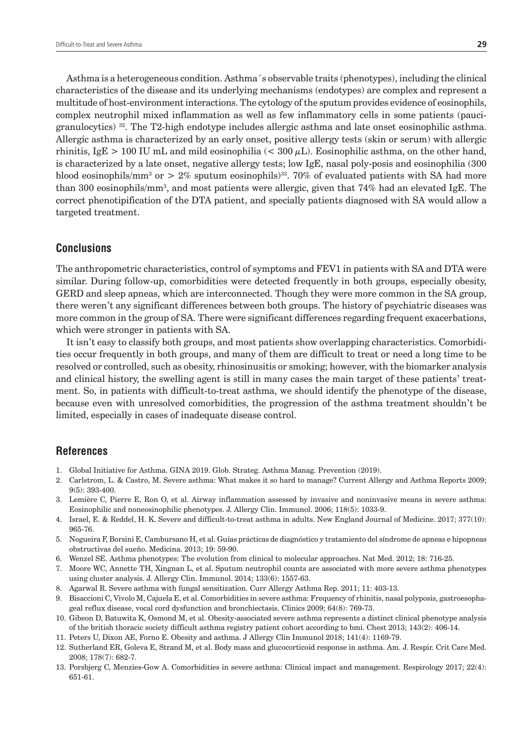granulocytics) 32. The T2-high endotype includes allergic asthma and late onset eosinophilic asthma. Allergic asthma is characterized by an early onset, positive allergy tests (skin or serum) with allergic rhinitis, IgE > 100 IU mL and mild eosinophilia ( $<$  300  $\mu$ L). Eosinophilic asthma, on the other hand, is characterized by a late onset, negative allergy tests; low IgE, nasal poly-posis and eosinophilia (300 blood eosinophils/mm<sup>3</sup> or  $>2\%$  sputum eosinophils)<sup>33</sup>. 70% of evaluated patients with SA had more than 300 eosinophils/mm3 , and most patients were allergic, given that 74% had an elevated IgE. The correct phenotipification of the DTA patient, and specially patients diagnosed with SA would allow a targeted treatment.

### **Conclusions**

The anthropometric characteristics, control of symptoms and FEV1 in patients with SA and DTA were similar. During follow-up, comorbidities were detected frequently in both groups, especially obesity, GERD and sleep apneas, which are interconnected. Though they were more common in the SA group, there weren't any significant differences between both groups. The history of psychiatric diseases was more common in the group of SA. There were significant differences regarding frequent exacerbations, which were stronger in patients with SA.

It isn't easy to classify both groups, and most patients show overlapping characteristics. Comorbidities occur frequently in both groups, and many of them are difficult to treat or need a long time to be resolved or controlled, such as obesity, rhinosinusitis or smoking; however, with the biomarker analysis and clinical history, the swelling agent is still in many cases the main target of these patients' treatment. So, in patients with difficult-to-treat asthma, we should identify the phenotype of the disease, because even with unresolved comorbidities, the progression of the asthma treatment shouldn't be limited, especially in cases of inadequate disease control.

# **References**

- 1. Global Initiative for Asthma. GINA 2019. Glob. Strateg. Asthma Manag. Prevention (2019).
- 2. Carlstrom, L. & Castro, M. Severe asthma: What makes it so hard to manage? Current Allergy and Asthma Reports 2009; 9(5): 393-400.
- 3. Lemière C, Pierre E, Ron O, et al. Airway inflammation assessed by invasive and noninvasive means in severe asthma: Eosinophilic and noneosinophilic phenotypes. J. Allergy Clin. Immunol. 2006; 118(5): 1033-9.
- 4. Israel, E. & Reddel, H. K. Severe and difficult-to-treat asthma in adults. New England Journal of Medicine. 2017; 377(10): 965-76.
- 5. Nogueira F, Borsini E, Cambursano H, et al. Guías prácticas de diagnóstico y tratamiento del síndrome de apneas e hipopneas obstructivas del sueño. Medicina. 2013; 19: 59-90.
- 6. Wenzel SE. Asthma phenotypes: The evolution from clinical to molecular approaches. Nat Med. 2012; 18: 716-25.
- 7. Moore WC, Annette TH, Xingnan L, et al. Sputum neutrophil counts are associated with more severe asthma phenotypes using cluster analysis. J. Allergy Clin. Immunol. 2014; 133(6): 1557-63.
- 8. Agarwal R. Severe asthma with fungal sensitization. Curr Allergy Asthma Rep. 2011; 11: 403-13.
- 9. Bisaccioni C, Vivolo M, Cajuela E, et al. Comorbidities in severe asthma: Frequency of rhinitis, nasal polyposis, gastroesophageal reflux disease, vocal cord dysfunction and bronchiectasis. Clinics 2009; 64(8): 769-73.
- 10. Gibeon D, Batuwita K, Osmond M, et al. Obesity-associated severe asthma represents a distinct clinical phenotype analysis of the british thoracic society difficult asthma registry patient cohort according to bmi. Chest 2013; 143(2): 406-14.
- 11. Peters U, Dixon AE, Forno E. Obesity and asthma. J Allergy Clin Immunol 2018; 141(4): 1169-79.
- 12. Sutherland ER, Goleva E, Strand M, et al. Body mass and glucocorticoid response in asthma. Am. J. Respir. Crit Care Med. 2008; 178(7): 682-7.
- 13. Porsbjerg C, Menzies-Gow A. Comorbidities in severe asthma: Clinical impact and management. Respirology 2017; 22(4): 651-61.